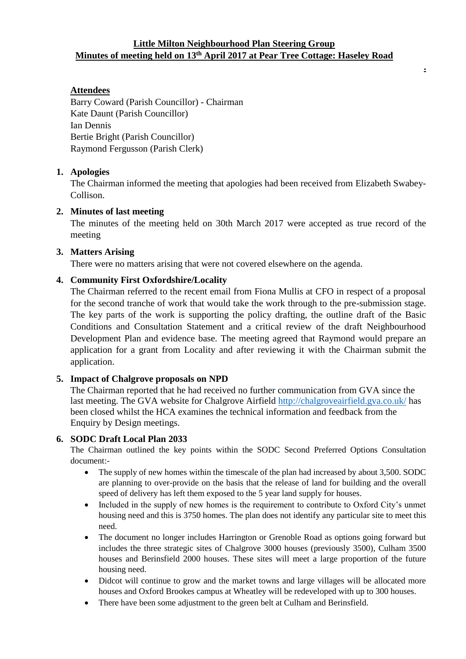# **Little Milton Neighbourhood Plan Steering Group Minutes of meeting held on 13th April 2017 at Pear Tree Cottage: Haseley Road**

**.**

# **Attendees**

Barry Coward (Parish Councillor) - Chairman Kate Daunt (Parish Councillor) Ian Dennis Bertie Bright (Parish Councillor) Raymond Fergusson (Parish Clerk)

### **1. Apologies**

The Chairman informed the meeting that apologies had been received from Elizabeth Swabey-Collison.

# **2. Minutes of last meeting**

The minutes of the meeting held on 30th March 2017 were accepted as true record of the meeting

# **3. Matters Arising**

There were no matters arising that were not covered elsewhere on the agenda.

# **4. Community First Oxfordshire/Locality**

The Chairman referred to the recent email from Fiona Mullis at CFO in respect of a proposal for the second tranche of work that would take the work through to the pre-submission stage. The key parts of the work is supporting the policy drafting, the outline draft of the Basic Conditions and Consultation Statement and a critical review of the draft Neighbourhood Development Plan and evidence base. The meeting agreed that Raymond would prepare an application for a grant from Locality and after reviewing it with the Chairman submit the application.

### **5. Impact of Chalgrove proposals on NPD**

The Chairman reported that he had received no further communication from GVA since the last meeting. The GVA website for Chalgrove Airfield<http://chalgroveairfield.gva.co.uk/> has been closed whilst the HCA examines the technical information and feedback from the Enquiry by Design meetings.

### **6. SODC Draft Local Plan 2033**

The Chairman outlined the key points within the SODC Second Preferred Options Consultation document:-

- The supply of new homes within the timescale of the plan had increased by about 3,500. SODC are planning to over-provide on the basis that the release of land for building and the overall speed of delivery has left them exposed to the 5 year land supply for houses.
- Included in the supply of new homes is the requirement to contribute to Oxford City's unmet housing need and this is 3750 homes. The plan does not identify any particular site to meet this need.
- The document no longer includes Harrington or Grenoble Road as options going forward but includes the three strategic sites of Chalgrove 3000 houses (previously 3500), Culham 3500 houses and Berinsfield 2000 houses. These sites will meet a large proportion of the future housing need.
- Didcot will continue to grow and the market towns and large villages will be allocated more houses and Oxford Brookes campus at Wheatley will be redeveloped with up to 300 houses.
- There have been some adjustment to the green belt at Culham and Berinsfield.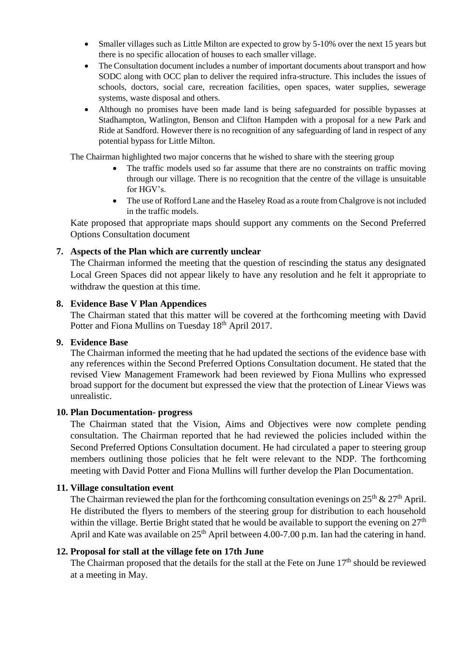- Smaller villages such as Little Milton are expected to grow by 5-10% over the next 15 years but there is no specific allocation of houses to each smaller village.
- The Consultation document includes a number of important documents about transport and how SODC along with OCC plan to deliver the required infra-structure. This includes the issues of schools, doctors, social care, recreation facilities, open spaces, water supplies, sewerage systems, waste disposal and others.
- Although no promises have been made land is being safeguarded for possible bypasses at Stadhampton, Watlington, Benson and Clifton Hampden with a proposal for a new Park and Ride at Sandford. However there is no recognition of any safeguarding of land in respect of any potential bypass for Little Milton.

The Chairman highlighted two major concerns that he wished to share with the steering group

- The traffic models used so far assume that there are no constraints on traffic moving through our village. There is no recognition that the centre of the village is unsuitable for HGV's.
- The use of Rofford Lane and the Haseley Road as a route from Chalgrove is not included in the traffic models.

Kate proposed that appropriate maps should support any comments on the Second Preferred Options Consultation document

# **7. Aspects of the Plan which are currently unclear**

The Chairman informed the meeting that the question of rescinding the status any designated Local Green Spaces did not appear likely to have any resolution and he felt it appropriate to withdraw the question at this time.

### **8. Evidence Base V Plan Appendices**

The Chairman stated that this matter will be covered at the forthcoming meeting with David Potter and Fiona Mullins on Tuesday 18<sup>th</sup> April 2017.

### **9. Evidence Base**

The Chairman informed the meeting that he had updated the sections of the evidence base with any references within the Second Preferred Options Consultation document. He stated that the revised View Management Framework had been reviewed by Fiona Mullins who expressed broad support for the document but expressed the view that the protection of Linear Views was unrealistic.

### **10. Plan Documentation- progress**

The Chairman stated that the Vision, Aims and Objectives were now complete pending consultation. The Chairman reported that he had reviewed the policies included within the Second Preferred Options Consultation document. He had circulated a paper to steering group members outlining those policies that he felt were relevant to the NDP. The forthcoming meeting with David Potter and Fiona Mullins will further develop the Plan Documentation.

### **11. Village consultation event**

The Chairman reviewed the plan for the forthcoming consultation evenings on  $25<sup>th</sup>$  &  $27<sup>th</sup>$  April. He distributed the flyers to members of the steering group for distribution to each household within the village. Bertie Bright stated that he would be available to support the evening on  $27<sup>th</sup>$ April and Kate was available on  $25<sup>th</sup>$  April between 4.00-7.00 p.m. Ian had the catering in hand.

### **12. Proposal for stall at the village fete on 17th June**

The Chairman proposed that the details for the stall at the Fete on June 17<sup>th</sup> should be reviewed at a meeting in May.